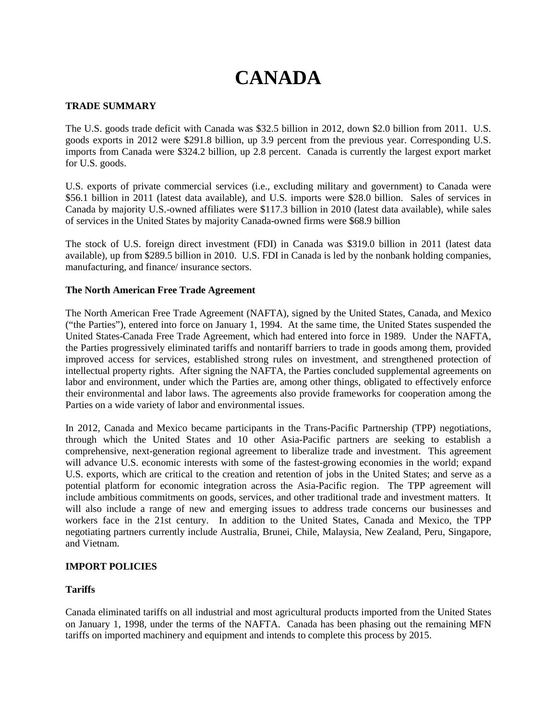# **CANADA**

# **TRADE SUMMARY**

The U.S. goods trade deficit with Canada was \$32.5 billion in 2012, down \$2.0 billion from 2011. U.S. goods exports in 2012 were \$291.8 billion, up 3.9 percent from the previous year. Corresponding U.S. imports from Canada were \$324.2 billion, up 2.8 percent. Canada is currently the largest export market for U.S. goods.

U.S. exports of private commercial services (i.e., excluding military and government) to Canada were \$56.1 billion in 2011 (latest data available), and U.S. imports were \$28.0 billion. Sales of services in Canada by majority U.S.-owned affiliates were \$117.3 billion in 2010 (latest data available), while sales of services in the United States by majority Canada-owned firms were \$68.9 billion

The stock of U.S. foreign direct investment (FDI) in Canada was \$319.0 billion in 2011 (latest data available), up from \$289.5 billion in 2010. U.S. FDI in Canada is led by the nonbank holding companies, manufacturing, and finance/ insurance sectors.

# **The North American Free Trade Agreement**

The North American Free Trade Agreement (NAFTA), signed by the United States, Canada, and Mexico ("the Parties"), entered into force on January 1, 1994. At the same time, the United States suspended the United States-Canada Free Trade Agreement, which had entered into force in 1989. Under the NAFTA, the Parties progressively eliminated tariffs and nontariff barriers to trade in goods among them, provided improved access for services, established strong rules on investment, and strengthened protection of intellectual property rights. After signing the NAFTA, the Parties concluded supplemental agreements on labor and environment, under which the Parties are, among other things, obligated to effectively enforce their environmental and labor laws. The agreements also provide frameworks for cooperation among the Parties on a wide variety of labor and environmental issues.

In 2012, Canada and Mexico became participants in the Trans-Pacific Partnership (TPP) negotiations, through which the United States and 10 other Asia-Pacific partners are seeking to establish a comprehensive, next-generation regional agreement to liberalize trade and investment. This agreement will advance U.S. economic interests with some of the fastest-growing economies in the world; expand U.S. exports, which are critical to the creation and retention of jobs in the United States; and serve as a potential platform for economic integration across the Asia-Pacific region. The TPP agreement will include ambitious commitments on goods, services, and other traditional trade and investment matters. It will also include a range of new and emerging issues to address trade concerns our businesses and workers face in the 21st century. In addition to the United States, Canada and Mexico, the TPP negotiating partners currently include Australia, Brunei, Chile, Malaysia, New Zealand, Peru, Singapore, and Vietnam.

# **IMPORT POLICIES**

# **Tariffs**

Canada eliminated tariffs on all industrial and most agricultural products imported from the United States on January 1, 1998, under the terms of the NAFTA. Canada has been phasing out the remaining MFN tariffs on imported machinery and equipment and intends to complete this process by 2015.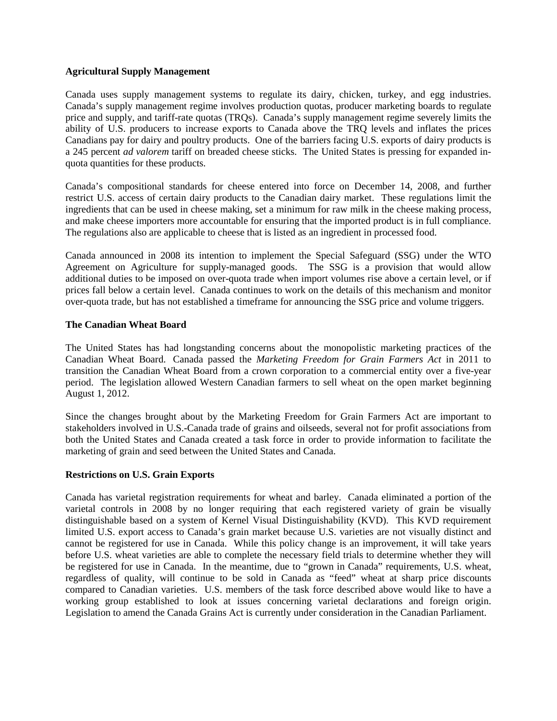## **Agricultural Supply Management**

Canada uses supply management systems to regulate its dairy, chicken, turkey, and egg industries. Canada's supply management regime involves production quotas, producer marketing boards to regulate price and supply, and tariff-rate quotas (TRQs). Canada's supply management regime severely limits the ability of U.S. producers to increase exports to Canada above the TRQ levels and inflates the prices Canadians pay for dairy and poultry products. One of the barriers facing U.S. exports of dairy products is a 245 percent *ad valorem* tariff on breaded cheese sticks. The United States is pressing for expanded inquota quantities for these products.

Canada's compositional standards for cheese entered into force on December 14, 2008, and further restrict U.S. access of certain dairy products to the Canadian dairy market. These regulations limit the ingredients that can be used in cheese making, set a minimum for raw milk in the cheese making process, and make cheese importers more accountable for ensuring that the imported product is in full compliance. The regulations also are applicable to cheese that is listed as an ingredient in processed food.

Canada announced in 2008 its intention to implement the Special Safeguard (SSG) under the WTO Agreement on Agriculture for supply-managed goods. The SSG is a provision that would allow additional duties to be imposed on over-quota trade when import volumes rise above a certain level, or if prices fall below a certain level. Canada continues to work on the details of this mechanism and monitor over-quota trade, but has not established a timeframe for announcing the SSG price and volume triggers.

# **The Canadian Wheat Board**

The United States has had longstanding concerns about the monopolistic marketing practices of the Canadian Wheat Board. Canada passed the *Marketing Freedom for Grain Farmers Act* in 2011 to transition the Canadian Wheat Board from a crown corporation to a commercial entity over a five-year period. The legislation allowed Western Canadian farmers to sell wheat on the open market beginning August 1, 2012.

Since the changes brought about by the Marketing Freedom for Grain Farmers Act are important to stakeholders involved in U.S.-Canada trade of grains and oilseeds, several not for profit associations from both the United States and Canada created a task force in order to provide information to facilitate the marketing of grain and seed between the United States and Canada.

#### **Restrictions on U.S. Grain Exports**

Canada has varietal registration requirements for wheat and barley. Canada eliminated a portion of the varietal controls in 2008 by no longer requiring that each registered variety of grain be visually distinguishable based on a system of Kernel Visual Distinguishability (KVD). This KVD requirement limited U.S. export access to Canada's grain market because U.S. varieties are not visually distinct and cannot be registered for use in Canada. While this policy change is an improvement, it will take years before U.S. wheat varieties are able to complete the necessary field trials to determine whether they will be registered for use in Canada. In the meantime, due to "grown in Canada" requirements, U.S. wheat, regardless of quality, will continue to be sold in Canada as "feed" wheat at sharp price discounts compared to Canadian varieties. U.S. members of the task force described above would like to have a working group established to look at issues concerning varietal declarations and foreign origin. Legislation to amend the Canada Grains Act is currently under consideration in the Canadian Parliament.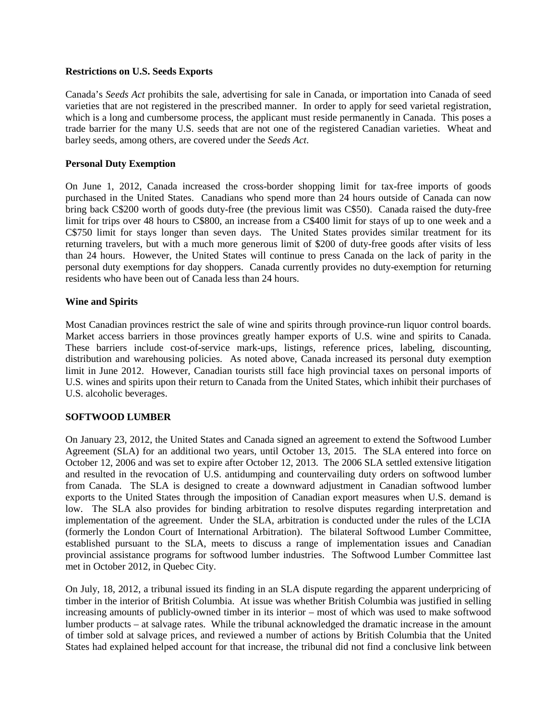## **Restrictions on U.S. Seeds Exports**

Canada's *Seeds Act* prohibits the sale, advertising for sale in Canada, or importation into Canada of seed varieties that are not registered in the prescribed manner. In order to apply for seed varietal registration, which is a long and cumbersome process, the applicant must reside permanently in Canada. This poses a trade barrier for the many U.S. seeds that are not one of the registered Canadian varieties. Wheat and barley seeds, among others, are covered under the *Seeds Act*.

# **Personal Duty Exemption**

On June 1, 2012, Canada increased the cross-border shopping limit for tax-free imports of goods purchased in the United States. Canadians who spend more than 24 hours outside of Canada can now bring back C\$200 worth of goods duty-free (the previous limit was C\$50). Canada raised the duty-free limit for trips over 48 hours to C\$800, an increase from a C\$400 limit for stays of up to one week and a C\$750 limit for stays longer than seven days. The United States provides similar treatment for its returning travelers, but with a much more generous limit of \$200 of duty-free goods after visits of less than 24 hours. However, the United States will continue to press Canada on the lack of parity in the personal duty exemptions for day shoppers. Canada currently provides no duty-exemption for returning residents who have been out of Canada less than 24 hours.

# **Wine and Spirits**

Most Canadian provinces restrict the sale of wine and spirits through province-run liquor control boards. Market access barriers in those provinces greatly hamper exports of U.S. wine and spirits to Canada. These barriers include cost-of-service mark-ups, listings, reference prices, labeling, discounting, distribution and warehousing policies. As noted above, Canada increased its personal duty exemption limit in June 2012. However, Canadian tourists still face high provincial taxes on personal imports of U.S. wines and spirits upon their return to Canada from the United States, which inhibit their purchases of U.S. alcoholic beverages.

# **SOFTWOOD LUMBER**

On January 23, 2012, the United States and Canada signed an agreement to extend the Softwood Lumber Agreement (SLA) for an additional two years, until October 13, 2015. The SLA entered into force on October 12, 2006 and was set to expire after October 12, 2013. The 2006 SLA settled extensive litigation and resulted in the revocation of U.S. antidumping and countervailing duty orders on softwood lumber from Canada. The SLA is designed to create a downward adjustment in Canadian softwood lumber exports to the United States through the imposition of Canadian export measures when U.S. demand is low. The SLA also provides for binding arbitration to resolve disputes regarding interpretation and implementation of the agreement. Under the SLA, arbitration is conducted under the rules of the LCIA (formerly the London Court of International Arbitration). The bilateral Softwood Lumber Committee, established pursuant to the SLA, meets to discuss a range of implementation issues and Canadian provincial assistance programs for softwood lumber industries. The Softwood Lumber Committee last met in October 2012, in Quebec City.

On July, 18, 2012, a tribunal issued its finding in an SLA dispute regarding the apparent underpricing of timber in the interior of British Columbia. At issue was whether British Columbia was justified in selling increasing amounts of publicly-owned timber in its interior – most of which was used to make softwood lumber products – at salvage rates. While the tribunal acknowledged the dramatic increase in the amount of timber sold at salvage prices, and reviewed a number of actions by British Columbia that the United States had explained helped account for that increase, the tribunal did not find a conclusive link between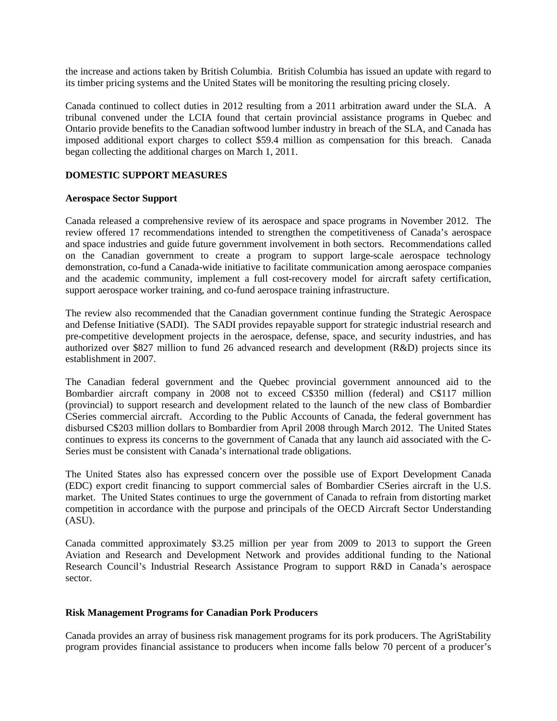the increase and actions taken by British Columbia. British Columbia has issued an update with regard to its timber pricing systems and the United States will be monitoring the resulting pricing closely.

Canada continued to collect duties in 2012 resulting from a 2011 arbitration award under the SLA. A tribunal convened under the LCIA found that certain provincial assistance programs in Quebec and Ontario provide benefits to the Canadian softwood lumber industry in breach of the SLA, and Canada has imposed additional export charges to collect \$59.4 million as compensation for this breach. Canada began collecting the additional charges on March 1, 2011.

# **DOMESTIC SUPPORT MEASURES**

## **Aerospace Sector Support**

Canada released a comprehensive review of its aerospace and space programs in November 2012. The review offered 17 recommendations intended to strengthen the competitiveness of Canada's aerospace and space industries and guide future government involvement in both sectors. Recommendations called on the Canadian government to create a program to support large-scale aerospace technology demonstration, co-fund a Canada-wide initiative to facilitate communication among aerospace companies and the academic community, implement a full cost-recovery model for aircraft safety certification, support aerospace worker training, and co-fund aerospace training infrastructure.

The review also recommended that the Canadian government continue funding the Strategic Aerospace and Defense Initiative (SADI). The SADI provides repayable support for strategic industrial research and pre-competitive development projects in the aerospace, defense, space, and security industries, and has authorized over \$827 million to fund 26 advanced research and development (R&D) projects since its establishment in 2007.

The Canadian federal government and the Quebec provincial government announced aid to the Bombardier aircraft company in 2008 not to exceed C\$350 million (federal) and C\$117 million (provincial) to support research and development related to the launch of the new class of Bombardier CSeries commercial aircraft. According to the Public Accounts of Canada, the federal government has disbursed C\$203 million dollars to Bombardier from April 2008 through March 2012. The United States continues to express its concerns to the government of Canada that any launch aid associated with the C-Series must be consistent with Canada's international trade obligations.

The United States also has expressed concern over the possible use of Export Development Canada (EDC) export credit financing to support commercial sales of Bombardier CSeries aircraft in the U.S. market. The United States continues to urge the government of Canada to refrain from distorting market competition in accordance with the purpose and principals of the OECD Aircraft Sector Understanding (ASU).

Canada committed approximately \$3.25 million per year from 2009 to 2013 to support the Green Aviation and Research and Development Network and provides additional funding to the National Research Council's Industrial Research Assistance Program to support R&D in Canada's aerospace sector.

#### **Risk Management Programs for Canadian Pork Producers**

Canada provides an array of business risk management programs for its pork producers. The AgriStability program provides financial assistance to producers when income falls below 70 percent of a producer's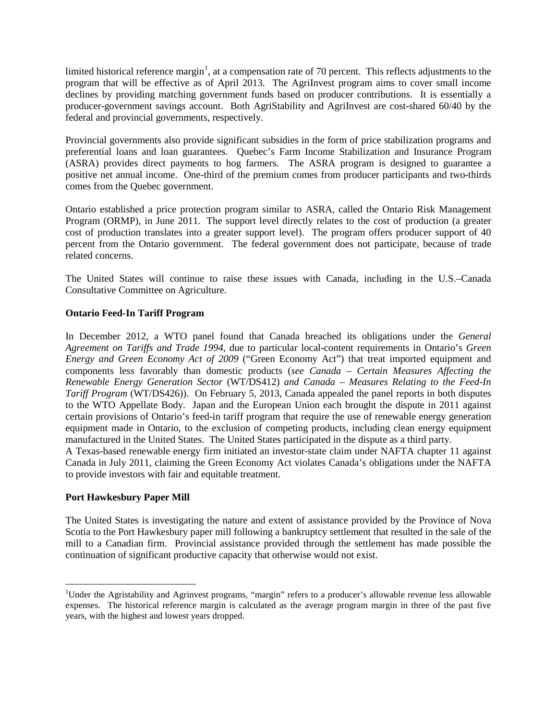limited historical reference margin<sup>[1](#page-4-0)</sup>, at a compensation rate of 70 percent. This reflects adjustments to the program that will be effective as of April 2013. The AgriInvest program aims to cover small income declines by providing matching government funds based on producer contributions. It is essentially a producer-government savings account. Both AgriStability and AgriInvest are cost-shared 60/40 by the federal and provincial governments, respectively.

Provincial governments also provide significant subsidies in the form of price stabilization programs and preferential loans and loan guarantees. Quebec's Farm Income Stabilization and Insurance Program (ASRA) provides direct payments to hog farmers. The ASRA program is designed to guarantee a positive net annual income. One-third of the premium comes from producer participants and two-thirds comes from the Quebec government.

Ontario established a price protection program similar to ASRA, called the Ontario Risk Management Program (ORMP), in June 2011. The support level directly relates to the cost of production (a greater cost of production translates into a greater support level). The program offers producer support of 40 percent from the Ontario government. The federal government does not participate, because of trade related concerns.

The United States will continue to raise these issues with Canada, including in the U.S.–Canada Consultative Committee on Agriculture.

# **Ontario Feed-In Tariff Program**

In December 2012, a WTO panel found that Canada breached its obligations under the *General Agreement on Tariffs and Trade 1994*, due to particular local-content requirements in Ontario's *Green Energy and Green Economy Act of 2009* ("Green Economy Act") that treat imported equipment and components less favorably than domestic products (*see Canada – Certain Measures Affecting the Renewable Energy Generation Sector* (WT/DS412) *and Canada – Measures Relating to the Feed-In Tariff Program* (WT/DS426)). On February 5, 2013, Canada appealed the panel reports in both disputes to the WTO Appellate Body. Japan and the European Union each brought the dispute in 2011 against certain provisions of Ontario's feed-in tariff program that require the use of renewable energy generation equipment made in Ontario, to the exclusion of competing products, including clean energy equipment manufactured in the United States. The United States participated in the dispute as a third party.

A Texas-based renewable energy firm initiated an investor-state claim under NAFTA chapter 11 against Canada in July 2011, claiming the Green Economy Act violates Canada's obligations under the NAFTA to provide investors with fair and equitable treatment.

# **Port Hawkesbury Paper Mill**

The United States is investigating the nature and extent of assistance provided by the Province of Nova Scotia to the Port Hawkesbury paper mill following a bankruptcy settlement that resulted in the sale of the mill to a Canadian firm. Provincial assistance provided through the settlement has made possible the continuation of significant productive capacity that otherwise would not exist.

<span id="page-4-0"></span> $\frac{1}{1}$ <sup>1</sup>Under the Agristability and Agrinvest programs, "margin" refers to a producer's allowable revenue less allowable expenses. The historical reference margin is calculated as the average program margin in three of the past five years, with the highest and lowest years dropped.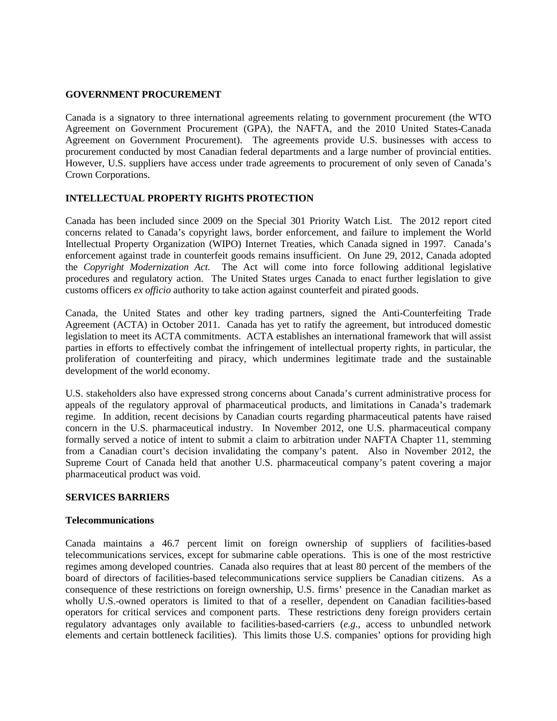## **GOVERNMENT PROCUREMENT**

Canada is a signatory to three international agreements relating to government procurement (the WTO Agreement on Government Procurement (GPA), the NAFTA, and the 2010 United States-Canada Agreement on Government Procurement). The agreements provide U.S. businesses with access to procurement conducted by most Canadian federal departments and a large number of provincial entities. However, U.S. suppliers have access under trade agreements to procurement of only seven of Canada's Crown Corporations.

# **INTELLECTUAL PROPERTY RIGHTS PROTECTION**

Canada has been included since 2009 on the Special 301 Priority Watch List. The 2012 report cited concerns related to Canada's copyright laws, border enforcement, and failure to implement the World Intellectual Property Organization (WIPO) Internet Treaties, which Canada signed in 1997. Canada's enforcement against trade in counterfeit goods remains insufficient. On June 29, 2012, Canada adopted the *Copyright Modernization Act.* The Act will come into force following additional legislative procedures and regulatory action. The United States urges Canada to enact further legislation to give customs officers *ex officio* authority to take action against counterfeit and pirated goods.

Canada, the United States and other key trading partners, signed the Anti-Counterfeiting Trade Agreement (ACTA) in October 2011. Canada has yet to ratify the agreement, but introduced domestic legislation to meet its ACTA commitments. ACTA establishes an international framework that will assist parties in efforts to effectively combat the infringement of intellectual property rights, in particular, the proliferation of counterfeiting and piracy, which undermines legitimate trade and the sustainable development of the world economy.

U.S. stakeholders also have expressed strong concerns about Canada's current administrative process for appeals of the regulatory approval of pharmaceutical products, and limitations in Canada's trademark regime. In addition, recent decisions by Canadian courts regarding pharmaceutical patents have raised concern in the U.S. pharmaceutical industry. In November 2012, one U.S. pharmaceutical company formally served a notice of intent to submit a claim to arbitration under NAFTA Chapter 11, stemming from a Canadian court's decision invalidating the company's patent. Also in November 2012, the Supreme Court of Canada held that another U.S. pharmaceutical company's patent covering a major pharmaceutical product was void.

## **SERVICES BARRIERS**

#### **Telecommunications**

Canada maintains a 46.7 percent limit on foreign ownership of suppliers of facilities-based telecommunications services, except for submarine cable operations. This is one of the most restrictive regimes among developed countries. Canada also requires that at least 80 percent of the members of the board of directors of facilities-based telecommunications service suppliers be Canadian citizens. As a consequence of these restrictions on foreign ownership, U.S. firms' presence in the Canadian market as wholly U.S.-owned operators is limited to that of a reseller, dependent on Canadian facilities-based operators for critical services and component parts. These restrictions deny foreign providers certain regulatory advantages only available to facilities-based-carriers (*e.g*., access to unbundled network elements and certain bottleneck facilities). This limits those U.S. companies' options for providing high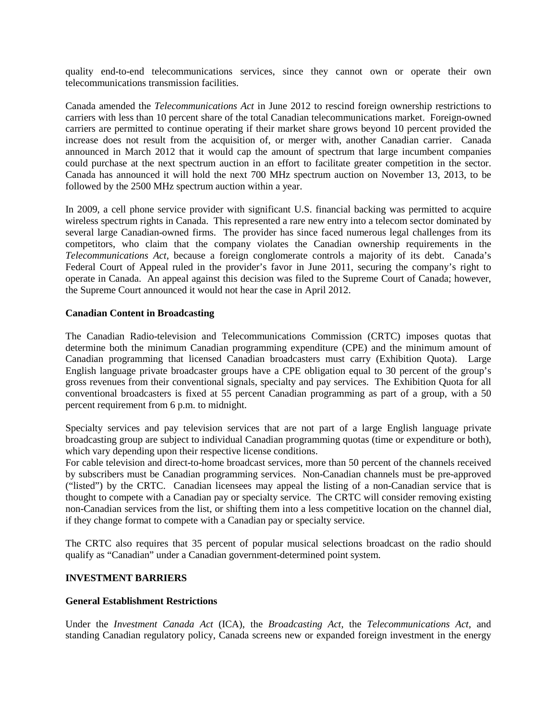quality end-to-end telecommunications services, since they cannot own or operate their own telecommunications transmission facilities.

Canada amended the *Telecommunications Act* in June 2012 to rescind foreign ownership restrictions to carriers with less than 10 percent share of the total Canadian telecommunications market. Foreign-owned carriers are permitted to continue operating if their market share grows beyond 10 percent provided the increase does not result from the acquisition of, or merger with, another Canadian carrier. Canada announced in March 2012 that it would cap the amount of spectrum that large incumbent companies could purchase at the next spectrum auction in an effort to facilitate greater competition in the sector. Canada has announced it will hold the next 700 MHz spectrum auction on November 13, 2013, to be followed by the 2500 MHz spectrum auction within a year.

In 2009, a cell phone service provider with significant U.S. financial backing was permitted to acquire wireless spectrum rights in Canada. This represented a rare new entry into a telecom sector dominated by several large Canadian-owned firms. The provider has since faced numerous legal challenges from its competitors, who claim that the company violates the Canadian ownership requirements in the *Telecommunications Act*, because a foreign conglomerate controls a majority of its debt. Canada's Federal Court of Appeal ruled in the provider's favor in June 2011, securing the company's right to operate in Canada. An appeal against this decision was filed to the Supreme Court of Canada; however, the Supreme Court announced it would not hear the case in April 2012.

# **Canadian Content in Broadcasting**

The Canadian Radio-television and Telecommunications Commission (CRTC) imposes quotas that determine both the minimum Canadian programming expenditure (CPE) and the minimum amount of Canadian programming that licensed Canadian broadcasters must carry (Exhibition Quota). Large English language private broadcaster groups have a CPE obligation equal to 30 percent of the group's gross revenues from their conventional signals, specialty and pay services. The Exhibition Quota for all conventional broadcasters is fixed at 55 percent Canadian programming as part of a group, with a 50 percent requirement from 6 p.m. to midnight.

Specialty services and pay television services that are not part of a large English language private broadcasting group are subject to individual Canadian programming quotas (time or expenditure or both), which vary depending upon their respective license conditions.

For cable television and direct-to-home broadcast services, more than 50 percent of the channels received by subscribers must be Canadian programming services. Non-Canadian channels must be pre-approved ("listed") by the CRTC. Canadian licensees may appeal the listing of a non-Canadian service that is thought to compete with a Canadian pay or specialty service. The CRTC will consider removing existing non-Canadian services from the list, or shifting them into a less competitive location on the channel dial, if they change format to compete with a Canadian pay or specialty service.

The CRTC also requires that 35 percent of popular musical selections broadcast on the radio should qualify as "Canadian" under a Canadian government-determined point system.

# **INVESTMENT BARRIERS**

## **General Establishment Restrictions**

Under the *Investment Canada Act* (ICA), the *Broadcasting Act*, the *Telecommunications Act*, and standing Canadian regulatory policy, Canada screens new or expanded foreign investment in the energy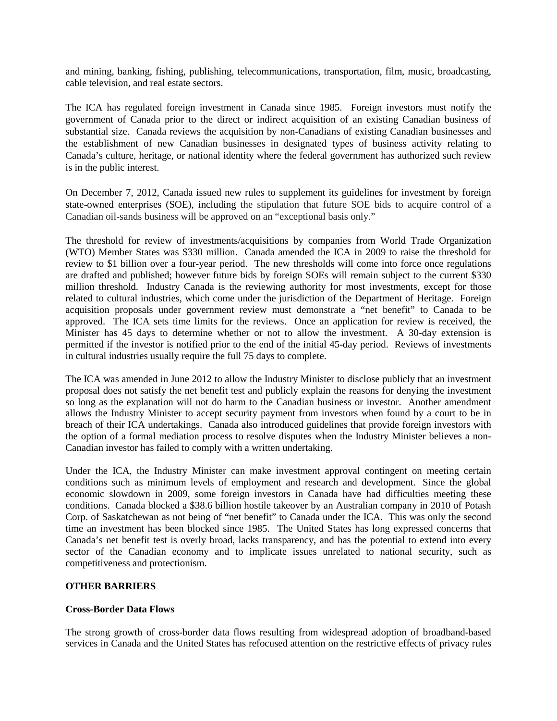and mining, banking, fishing, publishing, telecommunications, transportation, film, music, broadcasting, cable television, and real estate sectors.

The ICA has regulated foreign investment in Canada since 1985. Foreign investors must notify the government of Canada prior to the direct or indirect acquisition of an existing Canadian business of substantial size. Canada reviews the acquisition by non-Canadians of existing Canadian businesses and the establishment of new Canadian businesses in designated types of business activity relating to Canada's culture, heritage, or national identity where the federal government has authorized such review is in the public interest.

On December 7, 2012, Canada issued new rules to supplement its guidelines for investment by foreign state-owned enterprises (SOE), including the stipulation that future SOE bids to acquire control of a Canadian oil-sands business will be approved on an "exceptional basis only."

The threshold for review of investments/acquisitions by companies from World Trade Organization (WTO) Member States was \$330 million. Canada amended the ICA in 2009 to raise the threshold for review to \$1 billion over a four-year period. The new thresholds will come into force once regulations are drafted and published; however future bids by foreign SOEs will remain subject to the current \$330 million threshold. Industry Canada is the reviewing authority for most investments, except for those related to cultural industries, which come under the jurisdiction of the Department of Heritage. Foreign acquisition proposals under government review must demonstrate a "net benefit" to Canada to be approved. The ICA sets time limits for the reviews. Once an application for review is received, the Minister has 45 days to determine whether or not to allow the investment. A 30-day extension is permitted if the investor is notified prior to the end of the initial 45-day period. Reviews of investments in cultural industries usually require the full 75 days to complete.

The ICA was amended in June 2012 to allow the Industry Minister to disclose publicly that an investment proposal does not satisfy the net benefit test and publicly explain the reasons for denying the investment so long as the explanation will not do harm to the Canadian business or investor. Another amendment allows the Industry Minister to accept security payment from investors when found by a court to be in breach of their ICA undertakings. Canada also introduced guidelines that provide foreign investors with the option of a formal mediation process to resolve disputes when the Industry Minister believes a non-Canadian investor has failed to comply with a written undertaking.

Under the ICA, the Industry Minister can make investment approval contingent on meeting certain conditions such as minimum levels of employment and research and development. Since the global economic slowdown in 2009, some foreign investors in Canada have had difficulties meeting these conditions. Canada blocked a \$38.6 billion hostile takeover by an Australian company in 2010 of Potash Corp. of Saskatchewan as not being of "net benefit" to Canada under the ICA. This was only the second time an investment has been blocked since 1985. The United States has long expressed concerns that Canada's net benefit test is overly broad, lacks transparency, and has the potential to extend into every sector of the Canadian economy and to implicate issues unrelated to national security, such as competitiveness and protectionism.

# **OTHER BARRIERS**

# **Cross-Border Data Flows**

The strong growth of cross-border data flows resulting from widespread adoption of broadband-based services in Canada and the United States has refocused attention on the restrictive effects of privacy rules